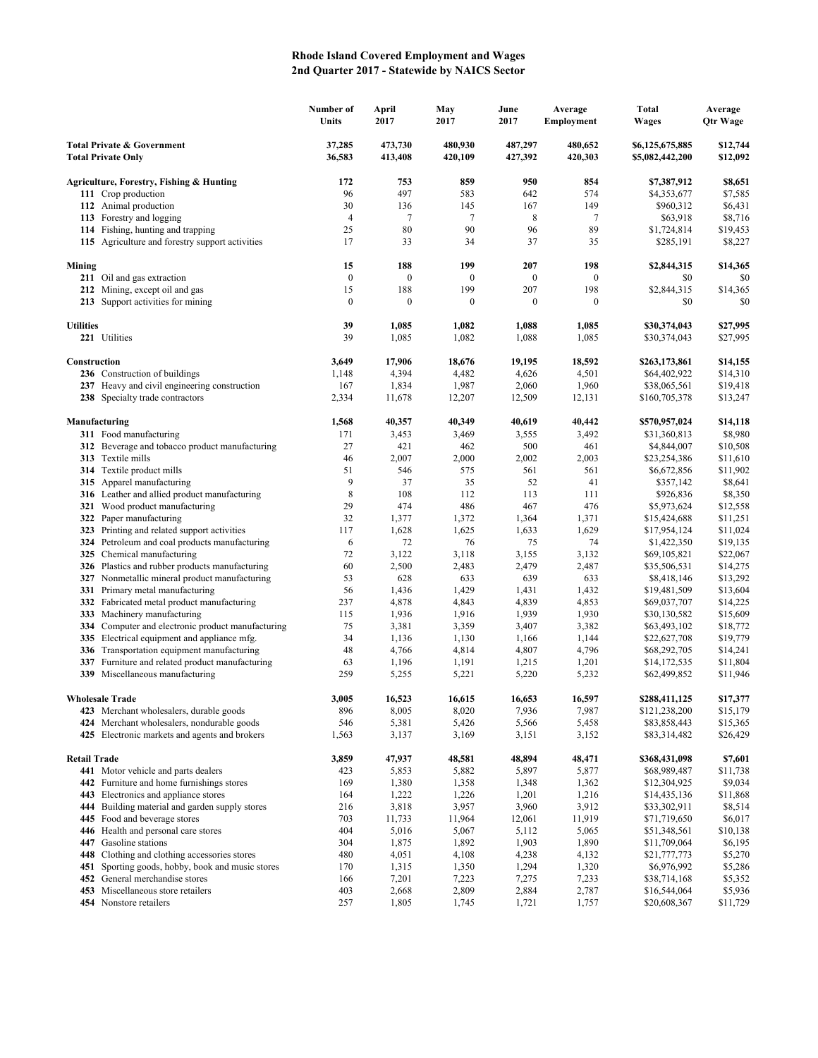## **Rhode Island Covered Employment and Wages 2nd Quarter 2017 - Statewide by NAICS Sector**

|                                                                    |                                                                                           | Number of<br>Units     | April<br>2017           | May<br>2017             | June<br>2017            | Average<br>Employment | Total<br><b>Wages</b>              | Average<br><b>Qtr Wage</b> |
|--------------------------------------------------------------------|-------------------------------------------------------------------------------------------|------------------------|-------------------------|-------------------------|-------------------------|-----------------------|------------------------------------|----------------------------|
| <b>Total Private &amp; Government</b><br><b>Total Private Only</b> |                                                                                           | 37,285<br>36,583       | 473,730<br>413,408      | 480,930<br>420,109      | 487,297<br>427,392      | 480,652<br>420,303    | \$6,125,675,885<br>\$5,082,442,200 | \$12,744<br>\$12,092       |
|                                                                    | <b>Agriculture, Forestry, Fishing &amp; Hunting</b>                                       | 172                    | 753                     | 859                     | 950                     | 854                   | \$7,387,912                        | \$8,651                    |
|                                                                    | 111 Crop production                                                                       | 96                     | 497                     | 583                     | 642                     | 574                   | \$4,353,677                        | \$7,585                    |
|                                                                    | 112 Animal production                                                                     | 30                     | 136                     | 145                     | 167                     | 149                   | \$960,312                          | \$6,431                    |
|                                                                    | 113 Forestry and logging                                                                  | $\overline{4}$         | $\overline{7}$          | $\tau$                  | 8                       | $\tau$                | \$63,918                           | \$8,716                    |
|                                                                    | 114 Fishing, hunting and trapping                                                         | 25                     | 80                      | 90                      | 96                      | 89                    | \$1,724,814                        | \$19,453                   |
|                                                                    | 115 Agriculture and forestry support activities                                           | 17                     | 33                      | 34                      | 37                      | 35                    | \$285,191                          | \$8,227                    |
| Mining                                                             |                                                                                           | 15                     | 188                     | 199                     | 207                     | 198                   | \$2,844,315                        | \$14,365                   |
|                                                                    | 211 Oil and gas extraction                                                                | $\boldsymbol{0}$       | $\boldsymbol{0}$        | $\mathbf{0}$            | $\boldsymbol{0}$        | $\mathbf{0}$          | \$0                                | \$0                        |
|                                                                    | 212 Mining, except oil and gas<br>213 Support activities for mining                       | 15<br>$\boldsymbol{0}$ | 188<br>$\boldsymbol{0}$ | 199<br>$\boldsymbol{0}$ | 207<br>$\boldsymbol{0}$ | 198<br>$\mathbf{0}$   | \$2,844,315<br>\$0                 | \$14,365<br>\$0            |
| <b>Utilities</b>                                                   |                                                                                           | 39                     | 1,085                   | 1,082                   | 1,088                   | 1,085                 | \$30,374,043                       | \$27,995                   |
|                                                                    | 221 Utilities                                                                             | 39                     | 1,085                   | 1,082                   | 1,088                   | 1,085                 | \$30,374,043                       | \$27,995                   |
| Construction                                                       |                                                                                           | 3,649                  | 17,906                  | 18,676                  | 19,195                  | 18,592                | \$263,173,861                      | \$14,155                   |
|                                                                    | 236 Construction of buildings                                                             | 1,148                  | 4,394                   | 4,482                   | 4,626                   | 4,501                 | \$64,402,922                       | \$14,310                   |
|                                                                    | 237 Heavy and civil engineering construction                                              | 167                    | 1,834                   | 1,987                   | 2,060                   | 1,960                 | \$38,065,561                       | \$19,418                   |
|                                                                    | 238 Specialty trade contractors                                                           | 2,334                  | 11,678                  | 12,207                  | 12,509                  | 12,131                | \$160,705,378                      | \$13,247                   |
| Manufacturing                                                      |                                                                                           | 1,568                  | 40,357                  | 40,349                  | 40,619                  | 40,442                | \$570,957,024                      | \$14,118                   |
|                                                                    | 311 Food manufacturing                                                                    | 171                    | 3,453                   | 3,469                   | 3,555                   | 3,492                 | \$31,360,813                       | \$8,980                    |
|                                                                    | 312 Beverage and tobacco product manufacturing                                            | 27                     | 421                     | 462                     | 500                     | 461                   | \$4,844,007                        | \$10,508                   |
|                                                                    | 313 Textile mills                                                                         | 46                     | 2,007                   | 2,000                   | 2,002                   | 2,003                 | \$23,254,386                       | \$11,610                   |
|                                                                    | <b>314</b> Textile product mills                                                          | 51                     | 546                     | 575                     | 561                     | 561                   | \$6,672,856                        | \$11,902                   |
|                                                                    | 315 Apparel manufacturing<br>316 Leather and allied product manufacturing                 | 9<br>8                 | 37<br>108               | 35<br>112               | 52<br>113               | 41<br>111             | \$357,142<br>\$926,836             | \$8,641                    |
|                                                                    | 321 Wood product manufacturing                                                            | 29                     | 474                     | 486                     | 467                     | 476                   | \$5,973,624                        | \$8,350<br>\$12,558        |
|                                                                    | 322 Paper manufacturing                                                                   | 32                     | 1,377                   | 1,372                   | 1,364                   | 1,371                 | \$15,424,688                       | \$11,251                   |
|                                                                    | 323 Printing and related support activities                                               | 117                    | 1,628                   | 1,625                   | 1,633                   | 1,629                 | \$17,954,124                       | \$11,024                   |
|                                                                    | 324 Petroleum and coal products manufacturing                                             | 6                      | 72                      | 76                      | 75                      | 74                    | \$1,422,350                        | \$19,135                   |
|                                                                    | 325 Chemical manufacturing                                                                | 72                     | 3,122                   | 3,118                   | 3,155                   | 3,132                 | \$69,105,821                       | \$22,067                   |
|                                                                    | 326 Plastics and rubber products manufacturing                                            | 60                     | 2,500                   | 2,483                   | 2,479                   | 2,487                 | \$35,506,531                       | \$14,275                   |
|                                                                    | 327 Nonmetallic mineral product manufacturing                                             | 53                     | 628                     | 633                     | 639                     | 633                   | \$8,418,146                        | \$13,292                   |
|                                                                    | 331 Primary metal manufacturing                                                           | 56                     | 1,436                   | 1,429                   | 1,431                   | 1,432                 | \$19,481,509                       | \$13,604                   |
|                                                                    | 332 Fabricated metal product manufacturing                                                | 237                    | 4,878                   | 4,843                   | 4,839                   | 4,853                 | \$69,037,707                       | \$14,225                   |
| 333                                                                | Machinery manufacturing                                                                   | 115                    | 1,936                   | 1,916                   | 1,939                   | 1,930                 | \$30,130,582                       | \$15,609                   |
| 334                                                                | Computer and electronic product manufacturing                                             | 75                     | 3,381                   | 3,359                   | 3,407                   | 3,382                 | \$63,493,102                       | \$18,772                   |
|                                                                    | 335 Electrical equipment and appliance mfg.                                               | 34<br>48               | 1,136                   | 1,130                   | 1,166                   | 1,144                 | \$22,627,708                       | \$19,779                   |
| 337                                                                | 336 Transportation equipment manufacturing<br>Furniture and related product manufacturing | 63                     | 4,766<br>1,196          | 4,814<br>1,191          | 4,807<br>1,215          | 4,796<br>1,201        | \$68,292,705<br>\$14,172,535       | \$14,241<br>\$11,804       |
|                                                                    | 339 Miscellaneous manufacturing                                                           | 259                    | 5,255                   | 5,221                   | 5,220                   | 5,232                 | \$62,499,852                       | \$11,946                   |
| <b>Wholesale Trade</b>                                             |                                                                                           | 3,005                  | 16,523                  | 16,615                  | 16,653                  | 16,597                | \$288,411,125                      | \$17,377                   |
|                                                                    | 423 Merchant wholesalers, durable goods                                                   | 896                    | 8,005                   | 8,020                   | 7,936                   | 7,987                 | \$121,238,200                      | \$15,179                   |
|                                                                    | 424 Merchant wholesalers, nondurable goods                                                | 546                    | 5,381                   | 5,426                   | 5,566                   | 5,458                 | \$83,858,443                       | \$15,365                   |
|                                                                    | 425 Electronic markets and agents and brokers                                             | 1,563                  | 3,137                   | 3,169                   | 3,151                   | 3,152                 | \$83,314,482                       | \$26,429                   |
| <b>Retail Trade</b>                                                |                                                                                           | 3,859                  | 47,937                  | 48,581                  | 48,894                  | 48,471                | \$368,431,098                      | \$7,601                    |
|                                                                    | 441 Motor vehicle and parts dealers                                                       | 423                    | 5,853                   | 5,882                   | 5,897                   | 5,877                 | \$68,989,487                       | \$11,738                   |
| 442                                                                | Furniture and home furnishings stores                                                     | 169                    | 1,380                   | 1,358                   | 1,348                   | 1,362                 | \$12,304,925                       | \$9,034                    |
| 443                                                                | Electronics and appliance stores                                                          | 164                    | 1,222                   | 1,226                   | 1,201                   | 1,216                 | \$14,435,136                       | \$11,868                   |
| 444                                                                | Building material and garden supply stores                                                | 216                    | 3,818                   | 3,957                   | 3,960                   | 3,912                 | \$33,302,911                       | \$8,514                    |
|                                                                    | 445 Food and beverage stores                                                              | 703                    | 11,733                  | 11,964                  | 12,061                  | 11,919                | \$71,719,650                       | \$6,017                    |
|                                                                    | 446 Health and personal care stores                                                       | 404                    | 5,016                   | 5,067                   | 5,112                   | 5,065                 | \$51,348,561                       | \$10,138                   |
|                                                                    | 447 Gasoline stations<br>448 Clothing and clothing accessories stores                     | 304<br>480             | 1,875<br>4,051          | 1,892<br>4,108          | 1,903<br>4,238          | 1,890<br>4,132        | \$11,709,064<br>\$21,777,773       | \$6,195<br>\$5,270         |
| 451                                                                | Sporting goods, hobby, book and music stores                                              | 170                    | 1,315                   | 1,350                   | 1,294                   | 1,320                 | \$6,976,992                        | \$5,286                    |
| 452                                                                | General merchandise stores                                                                | 166                    | 7,201                   | 7,223                   | 7,275                   | 7,233                 | \$38,714,168                       | \$5,352                    |
|                                                                    | 453 Miscellaneous store retailers                                                         | 403                    | 2,668                   | 2,809                   | 2,884                   | 2,787                 | \$16,544,064                       | \$5,936                    |
|                                                                    | 454 Nonstore retailers                                                                    | 257                    | 1,805                   | 1,745                   | 1,721                   | 1,757                 | \$20,608,367                       | \$11,729                   |